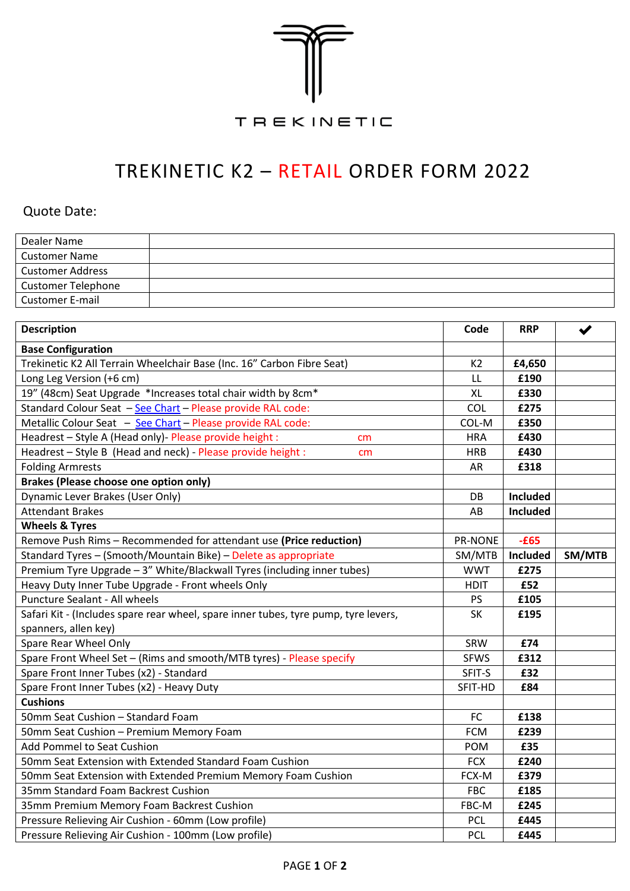

## TREKINETIC K2 – RETAIL ORDER FORM 2022

## Quote Date:

| Dealer Name               |  |
|---------------------------|--|
| <b>Customer Name</b>      |  |
| <b>Customer Address</b>   |  |
| <b>Customer Telephone</b> |  |
| <b>Customer E-mail</b>    |  |

| <b>Description</b>                                                                  | Code                | <b>RRP</b>      | $\blacktriangledown$ |
|-------------------------------------------------------------------------------------|---------------------|-----------------|----------------------|
| <b>Base Configuration</b>                                                           |                     |                 |                      |
| Trekinetic K2 All Terrain Wheelchair Base (Inc. 16" Carbon Fibre Seat)              |                     | £4,650          |                      |
| Long Leg Version (+6 cm)                                                            |                     | £190            |                      |
| 19" (48cm) Seat Upgrade *Increases total chair width by 8cm*                        | <b>XL</b>           | £330            |                      |
| Standard Colour Seat - See Chart - Please provide RAL code:                         | COL                 | £275            |                      |
| Metallic Colour Seat - See Chart - Please provide RAL code:                         |                     | £350            |                      |
| Headrest - Style A (Head only)- Please provide height :<br>cm                       |                     | £430            |                      |
| Headrest - Style B (Head and neck) - Please provide height :<br>cm                  |                     | £430            |                      |
| <b>Folding Armrests</b>                                                             |                     | £318            |                      |
| Brakes (Please choose one option only)                                              |                     |                 |                      |
| Dynamic Lever Brakes (User Only)                                                    | DB                  | Included        |                      |
| <b>Attendant Brakes</b>                                                             | AB                  | Included        |                      |
| <b>Wheels &amp; Tyres</b>                                                           |                     |                 |                      |
| Remove Push Rims - Recommended for attendant use (Price reduction)                  | PR-NONE             | $-E65$          |                      |
| Standard Tyres - (Smooth/Mountain Bike) - Delete as appropriate                     | SM/MTB              | <b>Included</b> | SM/MTB               |
| Premium Tyre Upgrade - 3" White/Blackwall Tyres (including inner tubes)             | <b>WWT</b>          | £275            |                      |
| Heavy Duty Inner Tube Upgrade - Front wheels Only                                   | <b>HDIT</b>         | £52             |                      |
| Puncture Sealant - All wheels                                                       | <b>PS</b>           | £105            |                      |
| Safari Kit - (Includes spare rear wheel, spare inner tubes, tyre pump, tyre levers, |                     | £195            |                      |
| spanners, allen key)                                                                |                     |                 |                      |
| Spare Rear Wheel Only                                                               |                     | £74             |                      |
| Spare Front Wheel Set - (Rims and smooth/MTB tyres) - Please specify                |                     | £312            |                      |
| Spare Front Inner Tubes (x2) - Standard                                             |                     | £32             |                      |
| Spare Front Inner Tubes (x2) - Heavy Duty                                           |                     | £84             |                      |
| <b>Cushions</b>                                                                     |                     |                 |                      |
| 50mm Seat Cushion - Standard Foam                                                   | <b>FC</b>           | £138            |                      |
| 50mm Seat Cushion - Premium Memory Foam                                             |                     | £239            |                      |
| <b>Add Pommel to Seat Cushion</b>                                                   |                     | £35             |                      |
| 50mm Seat Extension with Extended Standard Foam Cushion                             |                     | £240            |                      |
| 50mm Seat Extension with Extended Premium Memory Foam Cushion                       |                     | £379            |                      |
| 35mm Standard Foam Backrest Cushion                                                 |                     | £185            |                      |
| 35mm Premium Memory Foam Backrest Cushion                                           | FBC-M<br><b>PCL</b> | £245            |                      |
| Pressure Relieving Air Cushion - 60mm (Low profile)                                 |                     | £445            |                      |
| Pressure Relieving Air Cushion - 100mm (Low profile)                                |                     | £445            |                      |